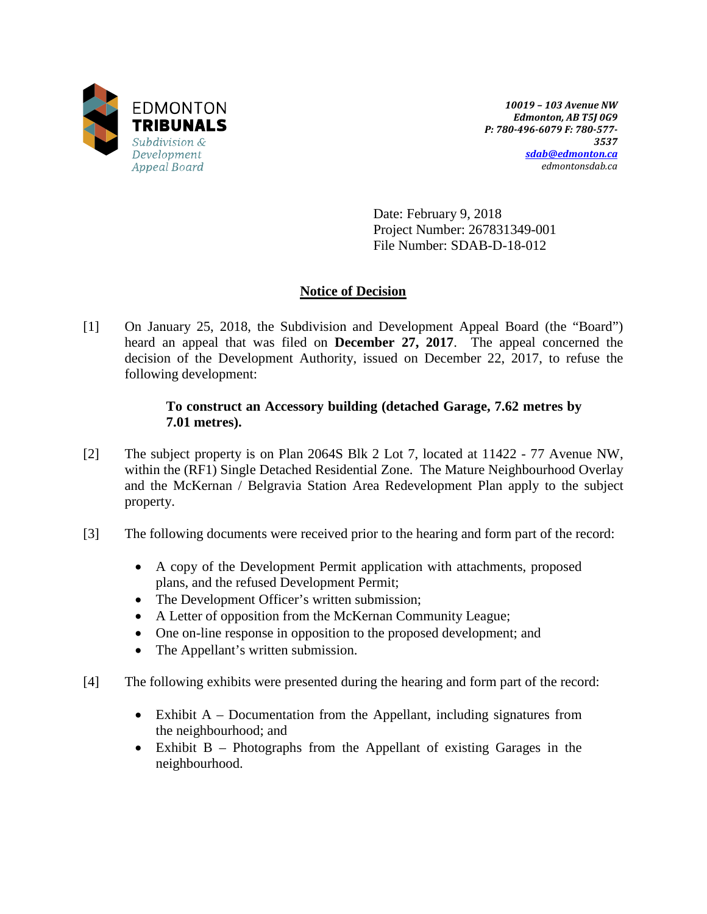

*10019 – 103 Avenue NW Edmonton, AB T5J 0G9 P: 780-496-6079 F: 780-577- 3537 [sdab@edmonton.ca](mailto:sdab@edmonton.ca) edmontonsdab.ca*

Date: February 9, 2018 Project Number: 267831349-001 File Number: SDAB-D-18-012

# **Notice of Decision**

[1] On January 25, 2018, the Subdivision and Development Appeal Board (the "Board") heard an appeal that was filed on **December 27, 2017**. The appeal concerned the decision of the Development Authority, issued on December 22, 2017, to refuse the following development:

### **To construct an Accessory building (detached Garage, 7.62 metres by 7.01 metres).**

- [2] The subject property is on Plan 2064S Blk 2 Lot 7, located at 11422 77 Avenue NW, within the (RF1) Single Detached Residential Zone. The Mature Neighbourhood Overlay and the McKernan / Belgravia Station Area Redevelopment Plan apply to the subject property.
- [3] The following documents were received prior to the hearing and form part of the record:
	- A copy of the Development Permit application with attachments, proposed plans, and the refused Development Permit;
	- The Development Officer's written submission;
	- A Letter of opposition from the McKernan Community League;
	- One on-line response in opposition to the proposed development; and
	- The Appellant's written submission.
- [4] The following exhibits were presented during the hearing and form part of the record:
	- Exhibit A Documentation from the Appellant, including signatures from the neighbourhood; and
	- Exhibit B Photographs from the Appellant of existing Garages in the neighbourhood.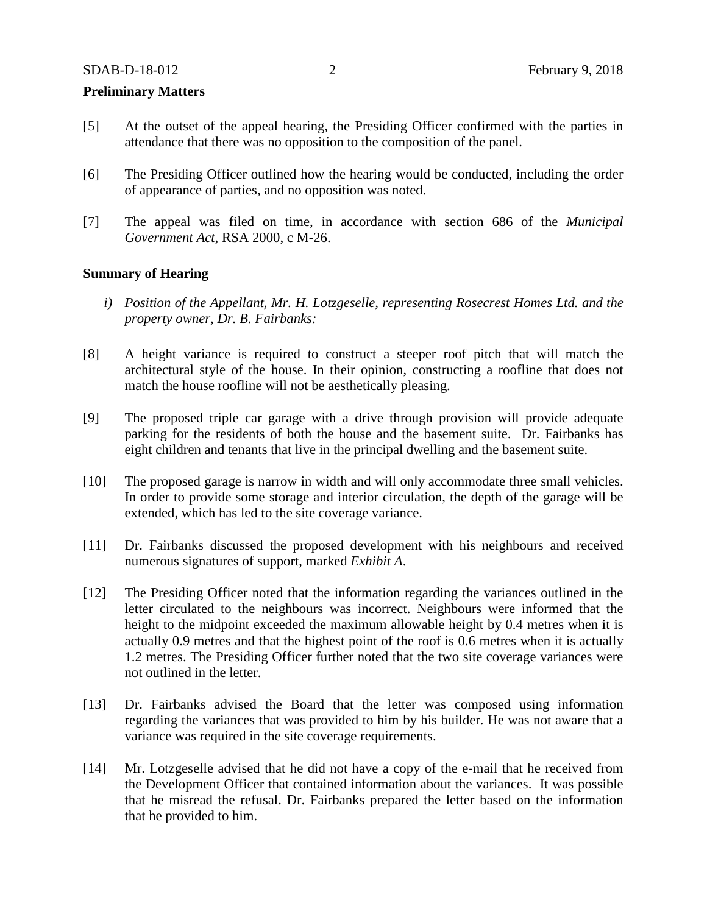#### **Preliminary Matters**

- [5] At the outset of the appeal hearing, the Presiding Officer confirmed with the parties in attendance that there was no opposition to the composition of the panel.
- [6] The Presiding Officer outlined how the hearing would be conducted, including the order of appearance of parties, and no opposition was noted.
- [7] The appeal was filed on time, in accordance with section 686 of the *Municipal Government Act*, RSA 2000, c M-26.

#### **Summary of Hearing**

- *i) Position of the Appellant, Mr. H. Lotzgeselle, representing Rosecrest Homes Ltd. and the property owner, Dr. B. Fairbanks:*
- [8] A height variance is required to construct a steeper roof pitch that will match the architectural style of the house. In their opinion, constructing a roofline that does not match the house roofline will not be aesthetically pleasing.
- [9] The proposed triple car garage with a drive through provision will provide adequate parking for the residents of both the house and the basement suite. Dr. Fairbanks has eight children and tenants that live in the principal dwelling and the basement suite.
- [10] The proposed garage is narrow in width and will only accommodate three small vehicles. In order to provide some storage and interior circulation, the depth of the garage will be extended, which has led to the site coverage variance.
- [11] Dr. Fairbanks discussed the proposed development with his neighbours and received numerous signatures of support, marked *Exhibit A*.
- [12] The Presiding Officer noted that the information regarding the variances outlined in the letter circulated to the neighbours was incorrect. Neighbours were informed that the height to the midpoint exceeded the maximum allowable height by 0.4 metres when it is actually 0.9 metres and that the highest point of the roof is 0.6 metres when it is actually 1.2 metres. The Presiding Officer further noted that the two site coverage variances were not outlined in the letter.
- [13] Dr. Fairbanks advised the Board that the letter was composed using information regarding the variances that was provided to him by his builder. He was not aware that a variance was required in the site coverage requirements.
- [14] Mr. Lotzgeselle advised that he did not have a copy of the e-mail that he received from the Development Officer that contained information about the variances. It was possible that he misread the refusal. Dr. Fairbanks prepared the letter based on the information that he provided to him.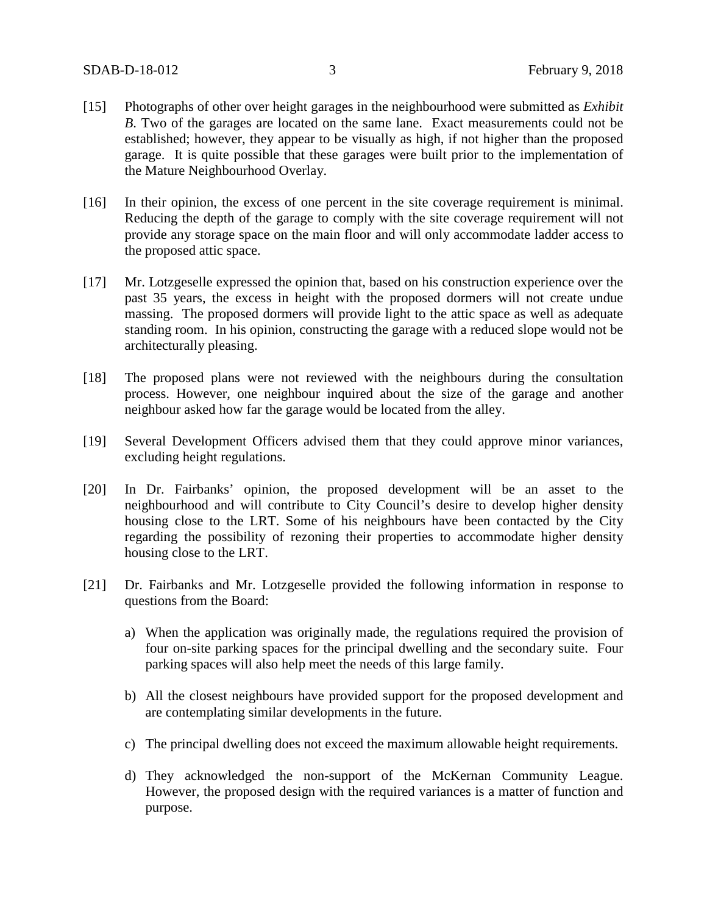- [15] Photographs of other over height garages in the neighbourhood were submitted as *Exhibit B*. Two of the garages are located on the same lane. Exact measurements could not be established; however, they appear to be visually as high, if not higher than the proposed garage. It is quite possible that these garages were built prior to the implementation of the Mature Neighbourhood Overlay.
- [16] In their opinion, the excess of one percent in the site coverage requirement is minimal. Reducing the depth of the garage to comply with the site coverage requirement will not provide any storage space on the main floor and will only accommodate ladder access to the proposed attic space.
- [17] Mr. Lotzgeselle expressed the opinion that, based on his construction experience over the past 35 years, the excess in height with the proposed dormers will not create undue massing. The proposed dormers will provide light to the attic space as well as adequate standing room. In his opinion, constructing the garage with a reduced slope would not be architecturally pleasing.
- [18] The proposed plans were not reviewed with the neighbours during the consultation process. However, one neighbour inquired about the size of the garage and another neighbour asked how far the garage would be located from the alley.
- [19] Several Development Officers advised them that they could approve minor variances, excluding height regulations.
- [20] In Dr. Fairbanks' opinion, the proposed development will be an asset to the neighbourhood and will contribute to City Council's desire to develop higher density housing close to the LRT. Some of his neighbours have been contacted by the City regarding the possibility of rezoning their properties to accommodate higher density housing close to the LRT.
- [21] Dr. Fairbanks and Mr. Lotzgeselle provided the following information in response to questions from the Board:
	- a) When the application was originally made, the regulations required the provision of four on-site parking spaces for the principal dwelling and the secondary suite. Four parking spaces will also help meet the needs of this large family.
	- b) All the closest neighbours have provided support for the proposed development and are contemplating similar developments in the future.
	- c) The principal dwelling does not exceed the maximum allowable height requirements.
	- d) They acknowledged the non-support of the McKernan Community League. However, the proposed design with the required variances is a matter of function and purpose.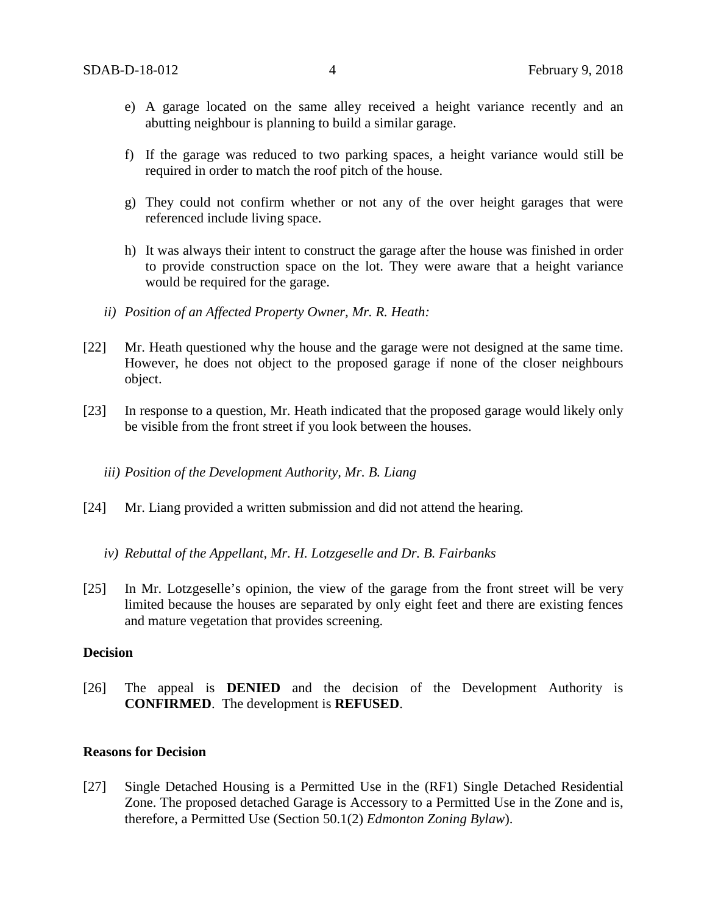- e) A garage located on the same alley received a height variance recently and an abutting neighbour is planning to build a similar garage.
- f) If the garage was reduced to two parking spaces, a height variance would still be required in order to match the roof pitch of the house.
- g) They could not confirm whether or not any of the over height garages that were referenced include living space.
- h) It was always their intent to construct the garage after the house was finished in order to provide construction space on the lot. They were aware that a height variance would be required for the garage.
- *ii) Position of an Affected Property Owner, Mr. R. Heath:*
- [22] Mr. Heath questioned why the house and the garage were not designed at the same time. However, he does not object to the proposed garage if none of the closer neighbours object.
- [23] In response to a question, Mr. Heath indicated that the proposed garage would likely only be visible from the front street if you look between the houses.
	- *iii) Position of the Development Authority, Mr. B. Liang*
- [24] Mr. Liang provided a written submission and did not attend the hearing.
	- *iv) Rebuttal of the Appellant, Mr. H. Lotzgeselle and Dr. B. Fairbanks*
- [25] In Mr. Lotzgeselle's opinion, the view of the garage from the front street will be very limited because the houses are separated by only eight feet and there are existing fences and mature vegetation that provides screening.

### **Decision**

[26] The appeal is **DENIED** and the decision of the Development Authority is **CONFIRMED**. The development is **REFUSED**.

### **Reasons for Decision**

[27] Single Detached Housing is a Permitted Use in the (RF1) Single Detached Residential Zone. The proposed detached Garage is Accessory to a Permitted Use in the Zone and is, therefore, a Permitted Use (Section 50.1(2) *Edmonton Zoning Bylaw*).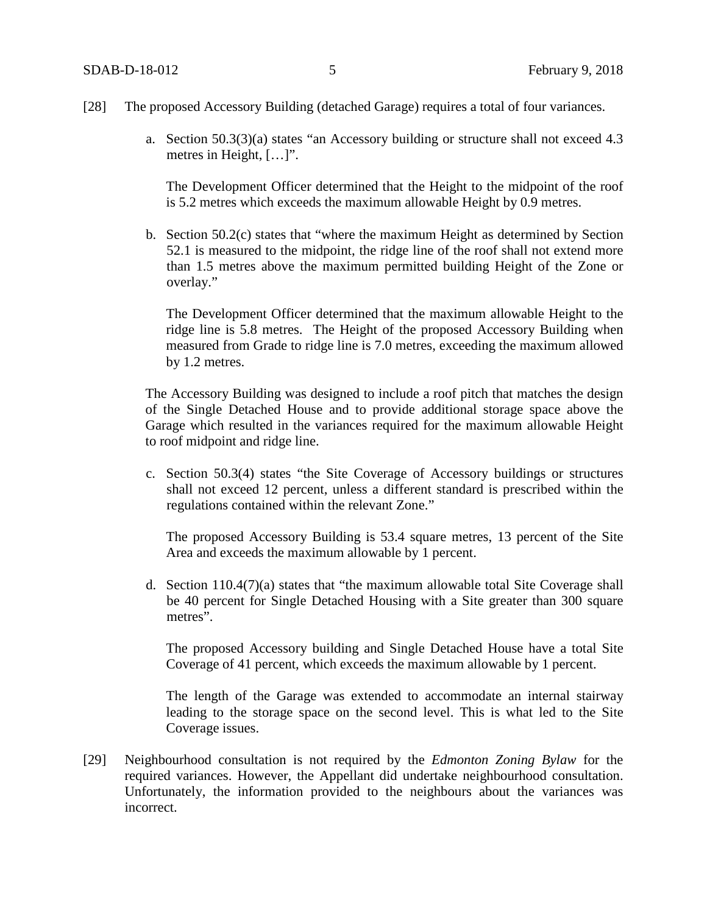- [28] The proposed Accessory Building (detached Garage) requires a total of four variances.
	- a. Section 50.3(3)(a) states "an Accessory building or structure shall not exceed 4.3 metres in Height, […]".

The Development Officer determined that the Height to the midpoint of the roof is 5.2 metres which exceeds the maximum allowable Height by 0.9 metres.

b. Section 50.2(c) states that "where the maximum Height as determined by Section 52.1 is measured to the midpoint, the ridge line of the roof shall not extend more than 1.5 metres above the maximum permitted building Height of the Zone or overlay."

The Development Officer determined that the maximum allowable Height to the ridge line is 5.8 metres. The Height of the proposed Accessory Building when measured from Grade to ridge line is 7.0 metres, exceeding the maximum allowed by 1.2 metres.

The Accessory Building was designed to include a roof pitch that matches the design of the Single Detached House and to provide additional storage space above the Garage which resulted in the variances required for the maximum allowable Height to roof midpoint and ridge line.

c. Section 50.3(4) states "the Site Coverage of Accessory buildings or structures shall not exceed 12 percent, unless a different standard is prescribed within the regulations contained within the relevant Zone."

The proposed Accessory Building is 53.4 square metres, 13 percent of the Site Area and exceeds the maximum allowable by 1 percent.

d. Section 110.4(7)(a) states that "the maximum allowable total Site Coverage shall be 40 percent for Single Detached Housing with a Site greater than 300 square metres".

The proposed Accessory building and Single Detached House have a total Site Coverage of 41 percent, which exceeds the maximum allowable by 1 percent.

The length of the Garage was extended to accommodate an internal stairway leading to the storage space on the second level. This is what led to the Site Coverage issues.

[29] Neighbourhood consultation is not required by the *Edmonton Zoning Bylaw* for the required variances. However, the Appellant did undertake neighbourhood consultation. Unfortunately, the information provided to the neighbours about the variances was incorrect.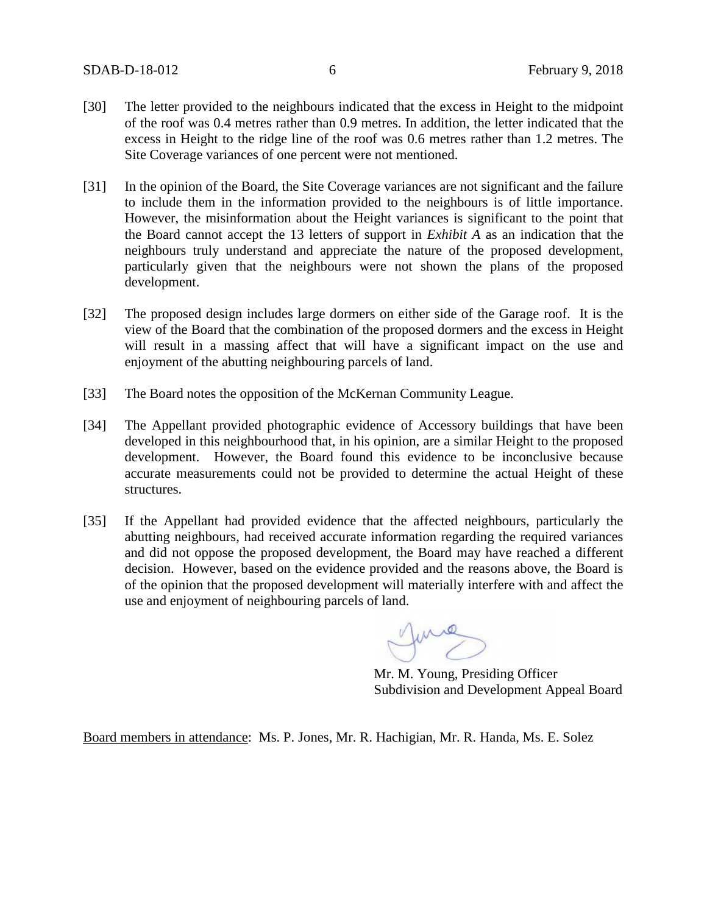- [30] The letter provided to the neighbours indicated that the excess in Height to the midpoint of the roof was 0.4 metres rather than 0.9 metres. In addition, the letter indicated that the excess in Height to the ridge line of the roof was 0.6 metres rather than 1.2 metres. The Site Coverage variances of one percent were not mentioned.
- [31] In the opinion of the Board, the Site Coverage variances are not significant and the failure to include them in the information provided to the neighbours is of little importance. However, the misinformation about the Height variances is significant to the point that the Board cannot accept the 13 letters of support in *Exhibit A* as an indication that the neighbours truly understand and appreciate the nature of the proposed development, particularly given that the neighbours were not shown the plans of the proposed development.
- [32] The proposed design includes large dormers on either side of the Garage roof. It is the view of the Board that the combination of the proposed dormers and the excess in Height will result in a massing affect that will have a significant impact on the use and enjoyment of the abutting neighbouring parcels of land.
- [33] The Board notes the opposition of the McKernan Community League.
- [34] The Appellant provided photographic evidence of Accessory buildings that have been developed in this neighbourhood that, in his opinion, are a similar Height to the proposed development. However, the Board found this evidence to be inconclusive because accurate measurements could not be provided to determine the actual Height of these structures.
- [35] If the Appellant had provided evidence that the affected neighbours, particularly the abutting neighbours, had received accurate information regarding the required variances and did not oppose the proposed development, the Board may have reached a different decision. However, based on the evidence provided and the reasons above, the Board is of the opinion that the proposed development will materially interfere with and affect the use and enjoyment of neighbouring parcels of land.

June

Mr. M. Young, Presiding Officer Subdivision and Development Appeal Board

Board members in attendance: Ms. P. Jones, Mr. R. Hachigian, Mr. R. Handa, Ms. E. Solez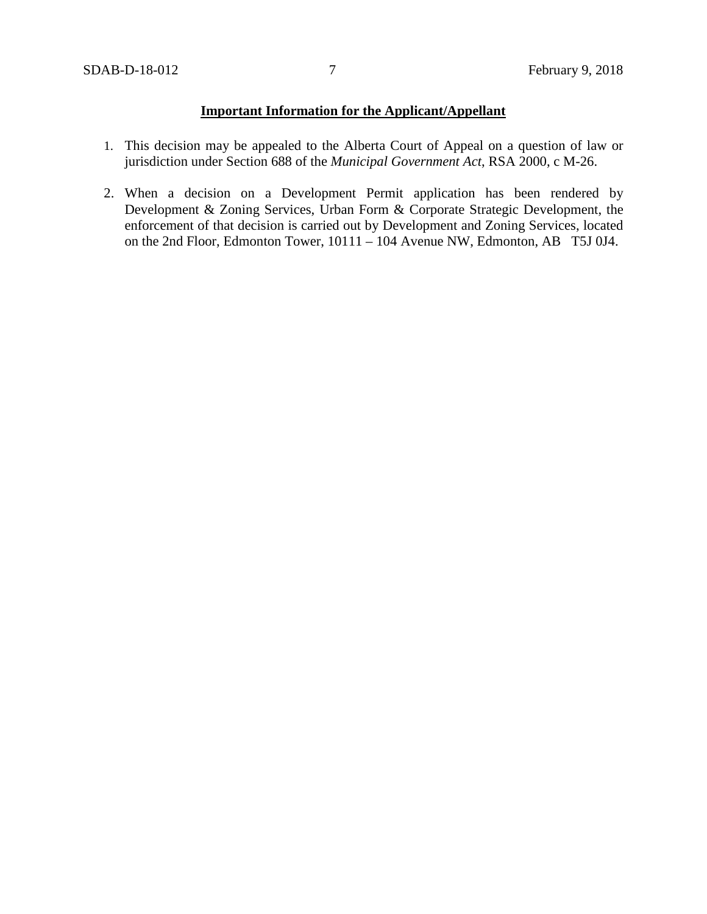# **Important Information for the Applicant/Appellant**

- 1. This decision may be appealed to the Alberta Court of Appeal on a question of law or jurisdiction under Section 688 of the *Municipal Government Act*, RSA 2000, c M-26.
- 2. When a decision on a Development Permit application has been rendered by Development & Zoning Services, Urban Form & Corporate Strategic Development, the enforcement of that decision is carried out by Development and Zoning Services, located on the 2nd Floor, Edmonton Tower, 10111 – 104 Avenue NW, Edmonton, AB T5J 0J4.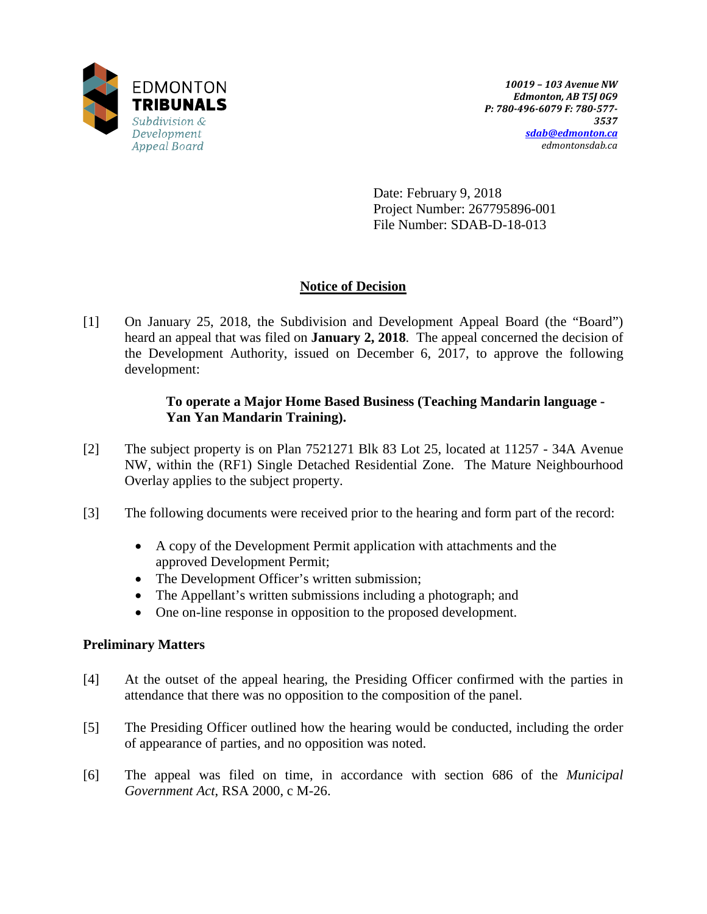

Date: February 9, 2018 Project Number: 267795896-001 File Number: SDAB-D-18-013

# **Notice of Decision**

[1] On January 25, 2018, the Subdivision and Development Appeal Board (the "Board") heard an appeal that was filed on **January 2, 2018**. The appeal concerned the decision of the Development Authority, issued on December 6, 2017, to approve the following development:

### **To operate a Major Home Based Business (Teaching Mandarin language - Yan Yan Mandarin Training).**

- [2] The subject property is on Plan 7521271 Blk 83 Lot 25, located at 11257 34A Avenue NW, within the (RF1) Single Detached Residential Zone. The Mature Neighbourhood Overlay applies to the subject property.
- [3] The following documents were received prior to the hearing and form part of the record:
	- A copy of the Development Permit application with attachments and the approved Development Permit;
	- The Development Officer's written submission;
	- The Appellant's written submissions including a photograph; and
	- One on-line response in opposition to the proposed development.

### **Preliminary Matters**

- [4] At the outset of the appeal hearing, the Presiding Officer confirmed with the parties in attendance that there was no opposition to the composition of the panel.
- [5] The Presiding Officer outlined how the hearing would be conducted, including the order of appearance of parties, and no opposition was noted.
- [6] The appeal was filed on time, in accordance with section 686 of the *Municipal Government Act*, RSA 2000, c M-26.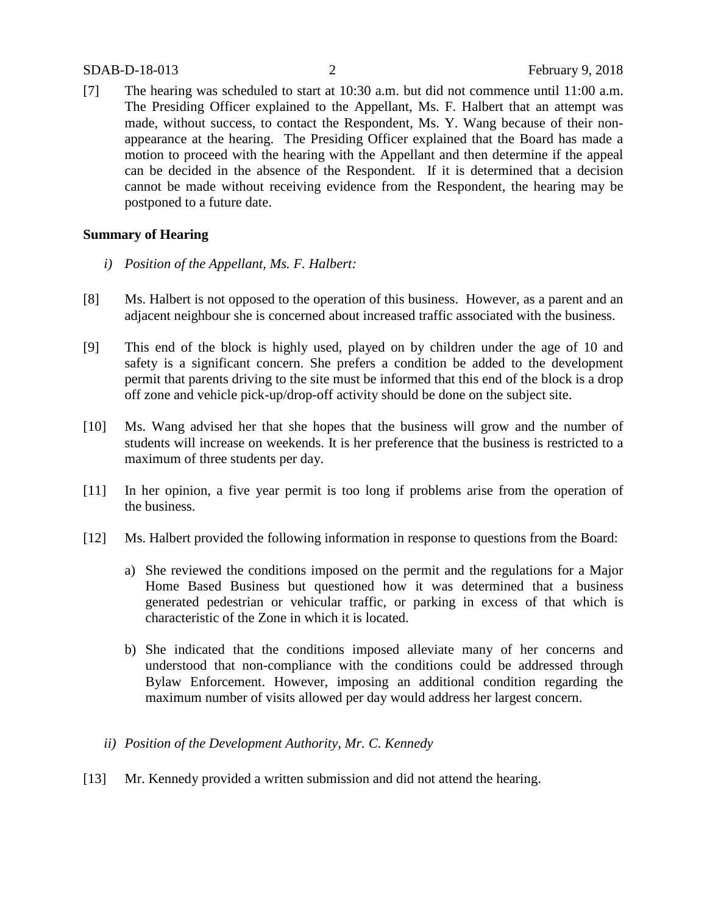### SDAB-D-18-013 2 February 9, 2018

[7] The hearing was scheduled to start at 10:30 a.m. but did not commence until 11:00 a.m. The Presiding Officer explained to the Appellant, Ms. F. Halbert that an attempt was made, without success, to contact the Respondent, Ms. Y. Wang because of their nonappearance at the hearing. The Presiding Officer explained that the Board has made a motion to proceed with the hearing with the Appellant and then determine if the appeal can be decided in the absence of the Respondent. If it is determined that a decision cannot be made without receiving evidence from the Respondent, the hearing may be postponed to a future date.

### **Summary of Hearing**

- *i) Position of the Appellant, Ms. F. Halbert:*
- [8] Ms. Halbert is not opposed to the operation of this business. However, as a parent and an adjacent neighbour she is concerned about increased traffic associated with the business.
- [9] This end of the block is highly used, played on by children under the age of 10 and safety is a significant concern. She prefers a condition be added to the development permit that parents driving to the site must be informed that this end of the block is a drop off zone and vehicle pick-up/drop-off activity should be done on the subject site.
- [10] Ms. Wang advised her that she hopes that the business will grow and the number of students will increase on weekends. It is her preference that the business is restricted to a maximum of three students per day.
- [11] In her opinion, a five year permit is too long if problems arise from the operation of the business.
- [12] Ms. Halbert provided the following information in response to questions from the Board:
	- a) She reviewed the conditions imposed on the permit and the regulations for a Major Home Based Business but questioned how it was determined that a business generated pedestrian or vehicular traffic, or parking in excess of that which is characteristic of the Zone in which it is located.
	- b) She indicated that the conditions imposed alleviate many of her concerns and understood that non-compliance with the conditions could be addressed through Bylaw Enforcement. However, imposing an additional condition regarding the maximum number of visits allowed per day would address her largest concern.
	- *ii) Position of the Development Authority, Mr. C. Kennedy*
- [13] Mr. Kennedy provided a written submission and did not attend the hearing.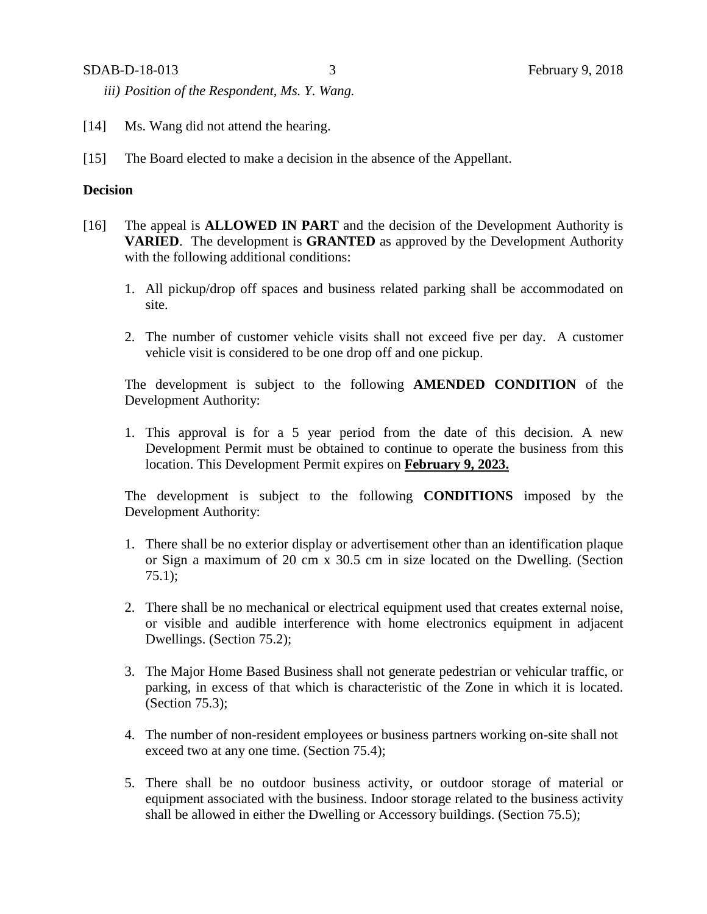*iii) Position of the Respondent, Ms. Y. Wang.*

- [14] Ms. Wang did not attend the hearing.
- [15] The Board elected to make a decision in the absence of the Appellant.

### **Decision**

- [16] The appeal is **ALLOWED IN PART** and the decision of the Development Authority is **VARIED**. The development is **GRANTED** as approved by the Development Authority with the following additional conditions:
	- 1. All pickup/drop off spaces and business related parking shall be accommodated on site.
	- 2. The number of customer vehicle visits shall not exceed five per day. A customer vehicle visit is considered to be one drop off and one pickup.

The development is subject to the following **AMENDED CONDITION** of the Development Authority:

1. This approval is for a 5 year period from the date of this decision. A new Development Permit must be obtained to continue to operate the business from this location. This Development Permit expires on **February 9, 2023.**

The development is subject to the following **CONDITIONS** imposed by the Development Authority:

- 1. There shall be no exterior display or advertisement other than an identification plaque or Sign a maximum of 20 cm x 30.5 cm in size located on the Dwelling. (Section 75.1);
- 2. There shall be no mechanical or electrical equipment used that creates external noise, or visible and audible interference with home electronics equipment in adjacent Dwellings. (Section 75.2);
- 3. The Major Home Based Business shall not generate pedestrian or vehicular traffic, or parking, in excess of that which is characteristic of the Zone in which it is located. (Section 75.3);
- 4. The number of non-resident employees or business partners working on-site shall not exceed two at any one time. (Section 75.4);
- 5. There shall be no outdoor business activity, or outdoor storage of material or equipment associated with the business. Indoor storage related to the business activity shall be allowed in either the Dwelling or Accessory buildings. (Section 75.5);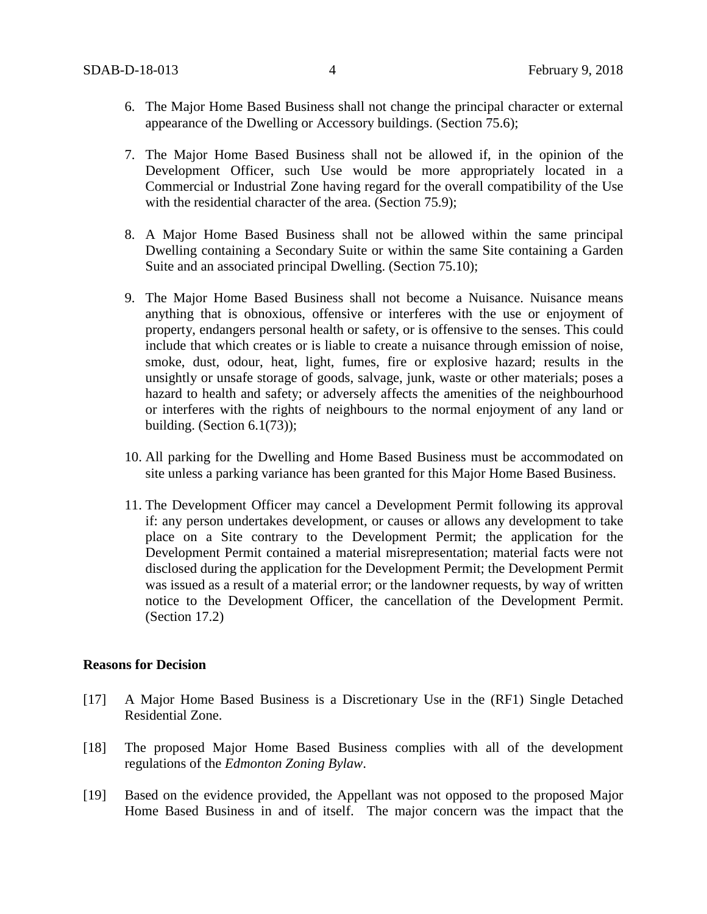- 6. The Major Home Based Business shall not change the principal character or external appearance of the Dwelling or Accessory buildings. (Section 75.6);
- 7. The Major Home Based Business shall not be allowed if, in the opinion of the Development Officer, such Use would be more appropriately located in a Commercial or Industrial Zone having regard for the overall compatibility of the Use with the residential character of the area. (Section 75.9);
- 8. A Major Home Based Business shall not be allowed within the same principal Dwelling containing a Secondary Suite or within the same Site containing a Garden Suite and an associated principal Dwelling. (Section 75.10);
- 9. The Major Home Based Business shall not become a Nuisance. Nuisance means anything that is obnoxious, offensive or interferes with the use or enjoyment of property, endangers personal health or safety, or is offensive to the senses. This could include that which creates or is liable to create a nuisance through emission of noise, smoke, dust, odour, heat, light, fumes, fire or explosive hazard; results in the unsightly or unsafe storage of goods, salvage, junk, waste or other materials; poses a hazard to health and safety; or adversely affects the amenities of the neighbourhood or interferes with the rights of neighbours to the normal enjoyment of any land or building. (Section 6.1(73));
- 10. All parking for the Dwelling and Home Based Business must be accommodated on site unless a parking variance has been granted for this Major Home Based Business.
- 11. The Development Officer may cancel a Development Permit following its approval if: any person undertakes development, or causes or allows any development to take place on a Site contrary to the Development Permit; the application for the Development Permit contained a material misrepresentation; material facts were not disclosed during the application for the Development Permit; the Development Permit was issued as a result of a material error; or the landowner requests, by way of written notice to the Development Officer, the cancellation of the Development Permit. (Section 17.2)

#### **Reasons for Decision**

- [17] A Major Home Based Business is a Discretionary Use in the (RF1) Single Detached Residential Zone.
- [18] The proposed Major Home Based Business complies with all of the development regulations of the *Edmonton Zoning Bylaw*.
- [19] Based on the evidence provided, the Appellant was not opposed to the proposed Major Home Based Business in and of itself. The major concern was the impact that the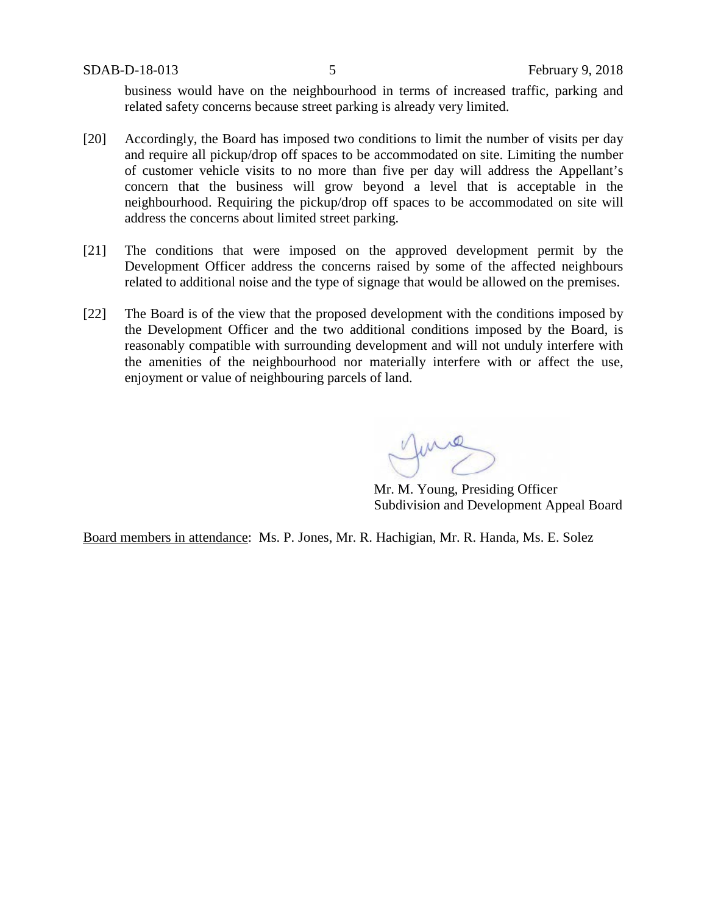business would have on the neighbourhood in terms of increased traffic, parking and related safety concerns because street parking is already very limited.

- [20] Accordingly, the Board has imposed two conditions to limit the number of visits per day and require all pickup/drop off spaces to be accommodated on site. Limiting the number of customer vehicle visits to no more than five per day will address the Appellant's concern that the business will grow beyond a level that is acceptable in the neighbourhood. Requiring the pickup/drop off spaces to be accommodated on site will address the concerns about limited street parking.
- [21] The conditions that were imposed on the approved development permit by the Development Officer address the concerns raised by some of the affected neighbours related to additional noise and the type of signage that would be allowed on the premises.
- [22] The Board is of the view that the proposed development with the conditions imposed by the Development Officer and the two additional conditions imposed by the Board, is reasonably compatible with surrounding development and will not unduly interfere with the amenities of the neighbourhood nor materially interfere with or affect the use, enjoyment or value of neighbouring parcels of land.

Mr. M. Young, Presiding Officer Subdivision and Development Appeal Board

Board members in attendance: Ms. P. Jones, Mr. R. Hachigian, Mr. R. Handa, Ms. E. Solez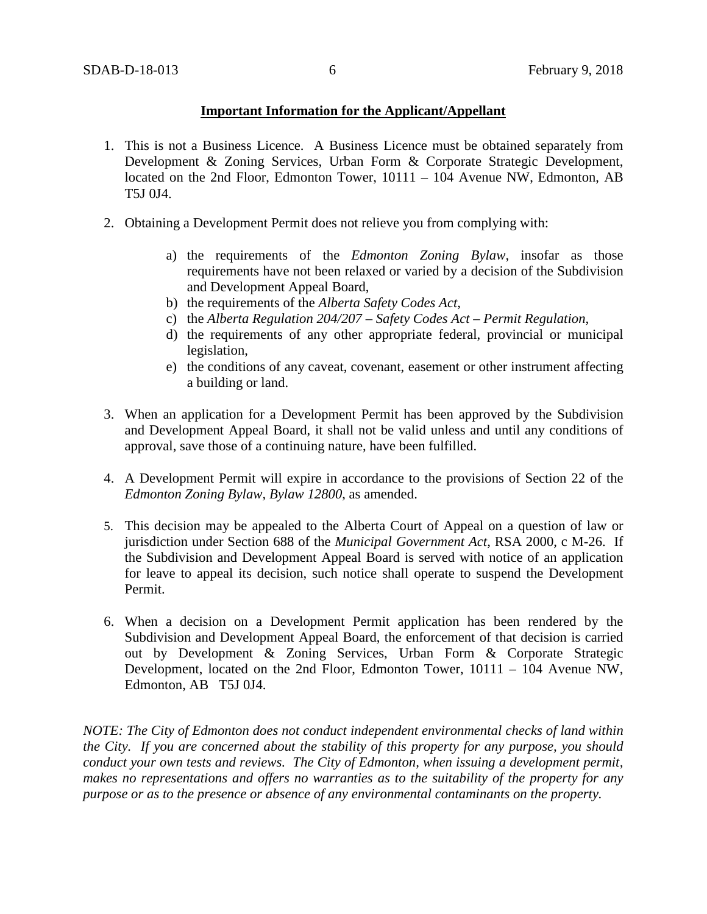### **Important Information for the Applicant/Appellant**

- 1. This is not a Business Licence. A Business Licence must be obtained separately from Development & Zoning Services, Urban Form & Corporate Strategic Development, located on the 2nd Floor, Edmonton Tower, 10111 – 104 Avenue NW, Edmonton, AB T5J 0J4.
- 2. Obtaining a Development Permit does not relieve you from complying with:
	- a) the requirements of the *Edmonton Zoning Bylaw*, insofar as those requirements have not been relaxed or varied by a decision of the Subdivision and Development Appeal Board,
	- b) the requirements of the *Alberta Safety Codes Act*,
	- c) the *Alberta Regulation 204/207 – Safety Codes Act – Permit Regulation*,
	- d) the requirements of any other appropriate federal, provincial or municipal legislation,
	- e) the conditions of any caveat, covenant, easement or other instrument affecting a building or land.
- 3. When an application for a Development Permit has been approved by the Subdivision and Development Appeal Board, it shall not be valid unless and until any conditions of approval, save those of a continuing nature, have been fulfilled.
- 4. A Development Permit will expire in accordance to the provisions of Section 22 of the *Edmonton Zoning Bylaw, Bylaw 12800*, as amended.
- 5. This decision may be appealed to the Alberta Court of Appeal on a question of law or jurisdiction under Section 688 of the *Municipal Government Act*, RSA 2000, c M-26. If the Subdivision and Development Appeal Board is served with notice of an application for leave to appeal its decision, such notice shall operate to suspend the Development Permit.
- 6. When a decision on a Development Permit application has been rendered by the Subdivision and Development Appeal Board, the enforcement of that decision is carried out by Development & Zoning Services, Urban Form & Corporate Strategic Development, located on the 2nd Floor, Edmonton Tower, 10111 – 104 Avenue NW, Edmonton, AB T5J 0J4.

*NOTE: The City of Edmonton does not conduct independent environmental checks of land within the City. If you are concerned about the stability of this property for any purpose, you should conduct your own tests and reviews. The City of Edmonton, when issuing a development permit, makes no representations and offers no warranties as to the suitability of the property for any purpose or as to the presence or absence of any environmental contaminants on the property.*